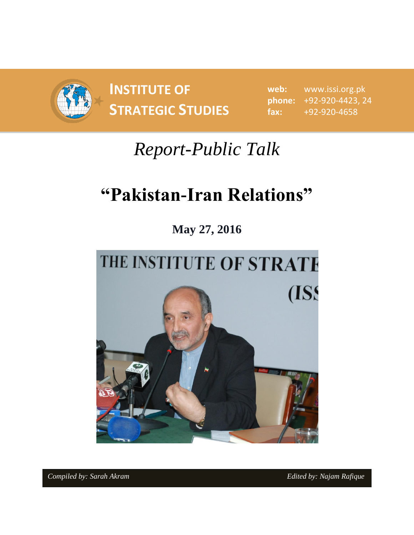

**INSTITUTE OF STRATEGIC STUDIES**  $\begin{bmatrix} 1 & 1 & 1 \\ 1 & 1 & 1 \end{bmatrix}$ 

**web:** www.issi.org.pk **phone:** +92-920-4423, 24 **fax:** +92-920-4658

## *Report-Public Talk*

# **"Pakistan-Iran Relations"**

**May 27, 2016**

# THE INSTITUTE OF STRATE (ISS

*Compiled by: Sarah Akram Edited by: Najam Rafique*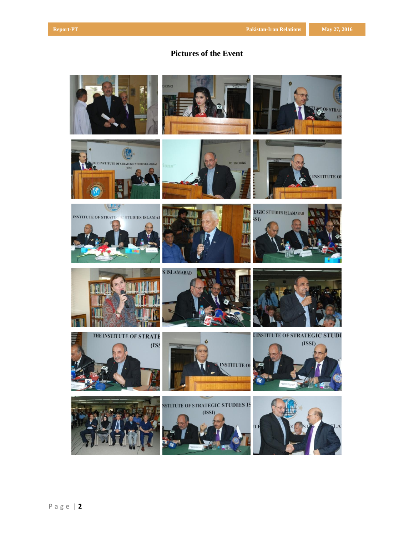## **Pictures of the Event**

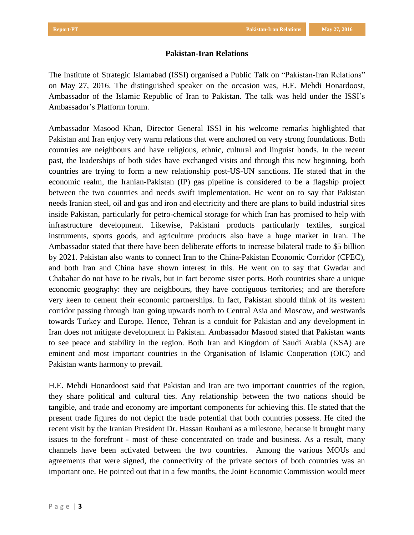### **Pakistan-Iran Relations**

The Institute of Strategic Islamabad (ISSI) organised a Public Talk on "Pakistan-Iran Relations" on May 27, 2016. The distinguished speaker on the occasion was, H.E. Mehdi Honardoost, Ambassador of the Islamic Republic of Iran to Pakistan. The talk was held under the ISSI's Ambassador's Platform forum.

Ambassador Masood Khan, Director General ISSI in his welcome remarks highlighted that Pakistan and Iran enjoy very warm relations that were anchored on very strong foundations. Both countries are neighbours and have religious, ethnic, cultural and linguist bonds. In the recent past, the leaderships of both sides have exchanged visits and through this new beginning, both countries are trying to form a new relationship post-US-UN sanctions. He stated that in the economic realm, the Iranian-Pakistan (IP) gas pipeline is considered to be a flagship project between the two countries and needs swift implementation. He went on to say that Pakistan needs Iranian steel, oil and gas and iron and electricity and there are plans to build industrial sites inside Pakistan, particularly for petro-chemical storage for which Iran has promised to help with infrastructure development. Likewise, Pakistani products particularly textiles, surgical instruments, sports goods, and agriculture products also have a huge market in Iran. The Ambassador stated that there have been deliberate efforts to increase bilateral trade to \$5 billion by 2021. Pakistan also wants to connect Iran to the China-Pakistan Economic Corridor (CPEC), and both Iran and China have shown interest in this. He went on to say that Gwadar and Chabahar do not have to be rivals, but in fact become sister ports. Both countries share a unique economic geography: they are neighbours, they have contiguous territories; and are therefore very keen to cement their economic partnerships. In fact, Pakistan should think of its western corridor passing through Iran going upwards north to Central Asia and Moscow, and westwards towards Turkey and Europe. Hence, Tehran is a conduit for Pakistan and any development in Iran does not mitigate development in Pakistan. Ambassador Masood stated that Pakistan wants to see peace and stability in the region. Both Iran and Kingdom of Saudi Arabia (KSA) are eminent and most important countries in the Organisation of Islamic Cooperation (OIC) and Pakistan wants harmony to prevail.

H.E. Mehdi Honardoost said that Pakistan and Iran are two important countries of the region, they share political and cultural ties. Any relationship between the two nations should be tangible, and trade and economy are important components for achieving this. He stated that the present trade figures do not depict the trade potential that both countries possess. He cited the recent visit by the Iranian President Dr. Hassan Rouhani as a milestone, because it brought many issues to the forefront - most of these concentrated on trade and business. As a result, many channels have been activated between the two countries. Among the various MOUs and agreements that were signed, the connectivity of the private sectors of both countries was an important one. He pointed out that in a few months, the Joint Economic Commission would meet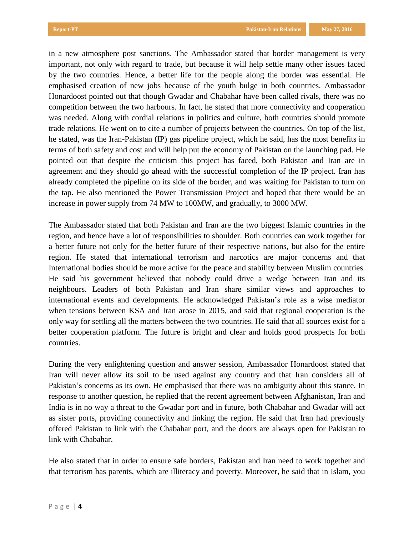in a new atmosphere post sanctions. The Ambassador stated that border management is very important, not only with regard to trade, but because it will help settle many other issues faced by the two countries. Hence, a better life for the people along the border was essential. He emphasised creation of new jobs because of the youth bulge in both countries. Ambassador Honardoost pointed out that though Gwadar and Chabahar have been called rivals, there was no competition between the two harbours. In fact, he stated that more connectivity and cooperation was needed. Along with cordial relations in politics and culture, both countries should promote trade relations. He went on to cite a number of projects between the countries. On top of the list, he stated, was the Iran-Pakistan (IP) gas pipeline project, which he said, has the most benefits in terms of both safety and cost and will help put the economy of Pakistan on the launching pad. He pointed out that despite the criticism this project has faced, both Pakistan and Iran are in agreement and they should go ahead with the successful completion of the IP project. Iran has already completed the pipeline on its side of the border, and was waiting for Pakistan to turn on the tap. He also mentioned the Power Transmission Project and hoped that there would be an increase in power supply from 74 MW to 100MW, and gradually, to 3000 MW.

The Ambassador stated that both Pakistan and Iran are the two biggest Islamic countries in the region, and hence have a lot of responsibilities to shoulder. Both countries can work together for a better future not only for the better future of their respective nations, but also for the entire region. He stated that international terrorism and narcotics are major concerns and that International bodies should be more active for the peace and stability between Muslim countries. He said his government believed that nobody could drive a wedge between Iran and its neighbours. Leaders of both Pakistan and Iran share similar views and approaches to international events and developments. He acknowledged Pakistan's role as a wise mediator when tensions between KSA and Iran arose in 2015, and said that regional cooperation is the only way for settling all the matters between the two countries. He said that all sources exist for a better cooperation platform. The future is bright and clear and holds good prospects for both countries.

During the very enlightening question and answer session, Ambassador Honardoost stated that Iran will never allow its soil to be used against any country and that Iran considers all of Pakistan's concerns as its own. He emphasised that there was no ambiguity about this stance. In response to another question, he replied that the recent agreement between Afghanistan, Iran and India is in no way a threat to the Gwadar port and in future, both Chabahar and Gwadar will act as sister ports, providing connectivity and linking the region. He said that Iran had previously offered Pakistan to link with the Chabahar port, and the doors are always open for Pakistan to link with Chabahar.

He also stated that in order to ensure safe borders, Pakistan and Iran need to work together and that terrorism has parents, which are illiteracy and poverty. Moreover, he said that in Islam, you